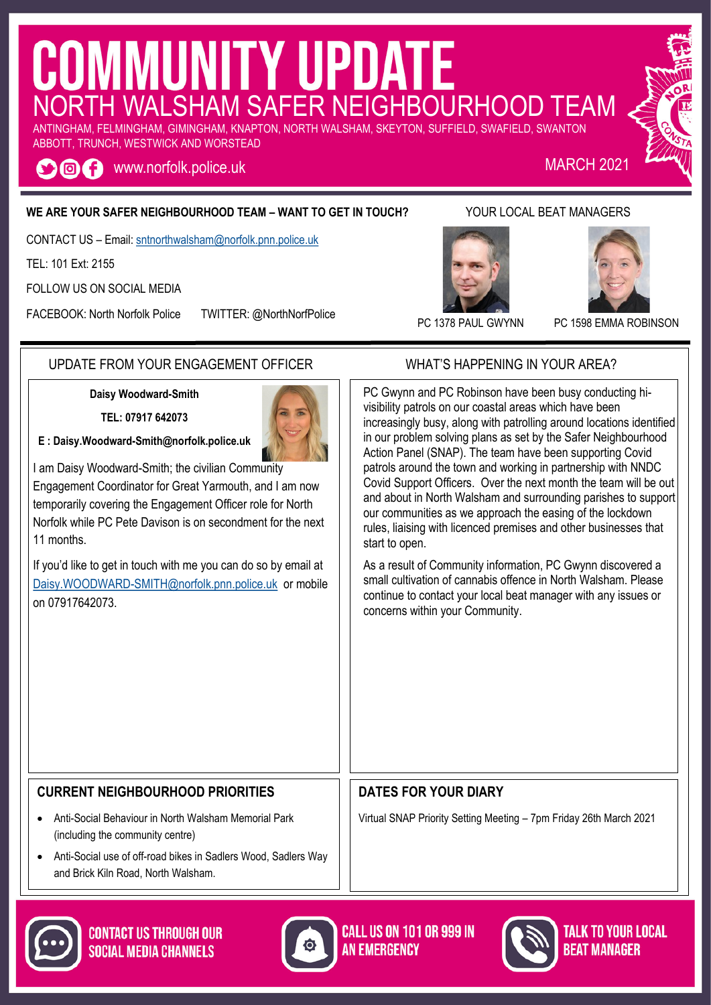# COMMUNITY UPDATE ANTINGHAM, FELMINGHAM, GIMINGHAM, KNAPTON, NORTH WALSHAM, SKEYTON, SUFFIELD, SWAFIELD, SWANTON

ABBOTT, TRUNCH, WESTWICK AND WORSTEAD

www.norfolk.police.uk MARCH 2021 O@A

### **WE ARE YOUR SAFER NEIGHBOURHOOD TEAM – WANT TO GET IN TOUCH?** YOUR LOCAL BEAT MANAGERS

CONTACT US – Email: [sntnorthwalsham@norfolk.pnn.police.uk](mailto:sntwells@norfolk.pnn.police.uk)

TEL: 101 Ext: 2155

FOLLOW US ON SOCIAL MEDIA

FACEBOOK: North Norfolk Police TWITTER: @NorthNorfPolice





PC 1378 PAUL GWYNN PC 1598 EMMA ROBINSON

### UPDATE FROM YOUR ENGAGEMENT OFFICER WHAT'S HAPPENING IN YOUR AREA?

**Daisy Woodward-Smith**

**TEL: 07917 642073**

**E : [Daisy.Woodward-Smit](mailto:Paula.Gilluley@norfolk.pnn.police.uk)h@norfolk.police.uk**

I am Daisy Woodward-Smith; the civilian Community Engagement Coordinator for Great Yarmouth, and I am now temporarily covering the Engagement Officer role for North Norfolk while PC Pete Davison is on secondment for the next 11 months.

If you'd like to get in touch with me you can do so by email at [Daisy.WOODWARD-SMITH@norfolk.pnn.police.uk](mailto:Daisy.WOODWARD-SMITH@norfolk.pnn.police.uk) or mobile on 07917642073.

PC Gwynn and PC Robinson have been busy conducting hivisibility patrols on our coastal areas which have been increasingly busy, along with patrolling around locations identified in our problem solving plans as set by the Safer Neighbourhood Action Panel (SNAP). The team have been supporting Covid patrols around the town and working in partnership with NNDC Covid Support Officers. Over the next month the team will be out and about in North Walsham and surrounding parishes to support our communities as we approach the easing of the lockdown rules, liaising with licenced premises and other businesses that start to open.

As a result of Community information, PC Gwynn discovered a small cultivation of cannabis offence in North Walsham. Please continue to contact your local beat manager with any issues or concerns within your Community.

### **CURRENT NEIGHBOURHOOD PRIORITIES**

- Anti-Social Behaviour in North Walsham Memorial Park (including the community centre)
- Anti-Social use of off-road bikes in Sadlers Wood, Sadlers Way and Brick Kiln Road, North Walsham.



**DATES FOR YOUR DIARY**



Virtual SNAP Priority Setting Meeting – 7pm Friday 26th March 2021



**CONTACT US THROUGH OUR SOCIAL MEDIA CHANNELS**